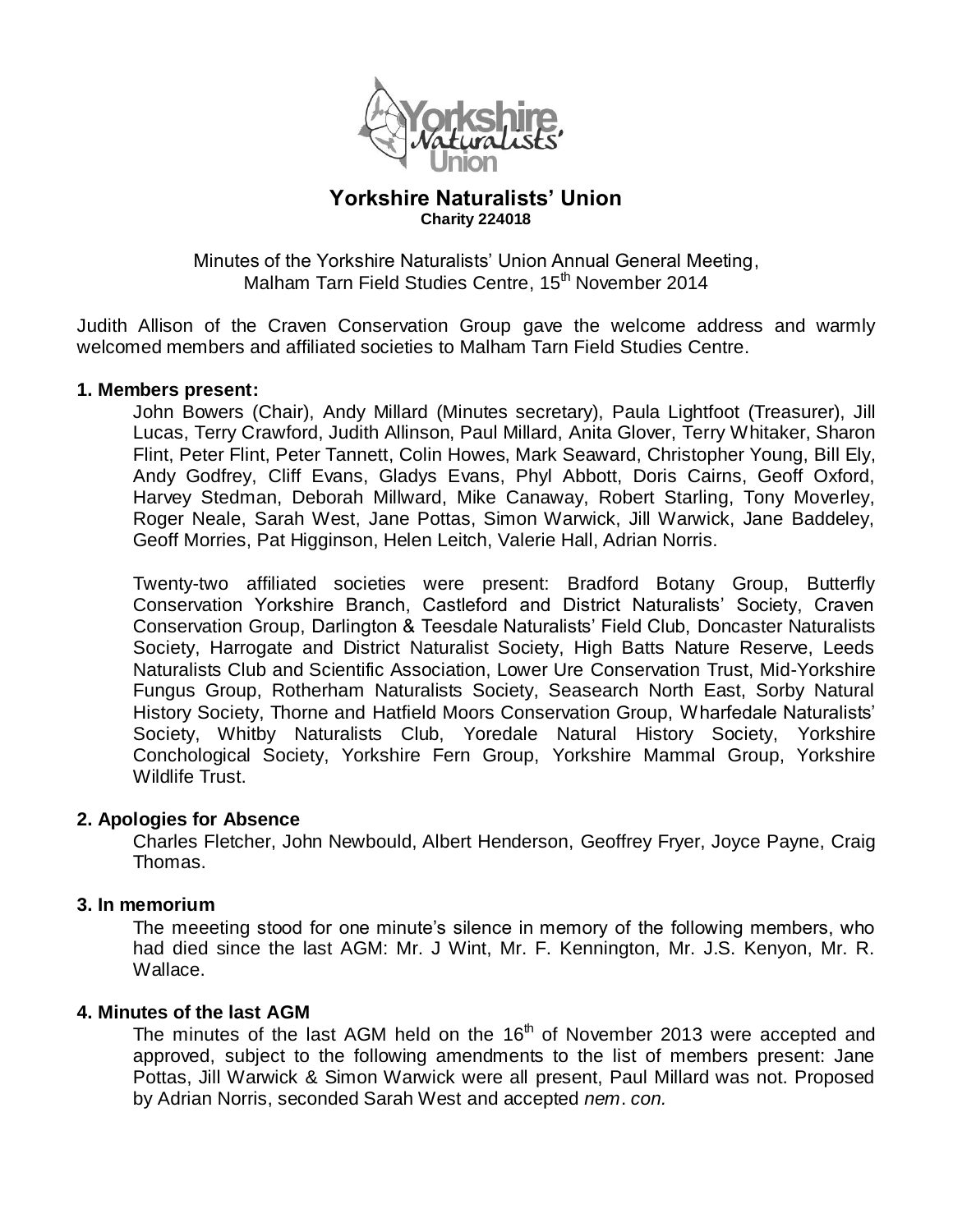

## **Yorkshire Naturalists' Union Charity 224018**

Minutes of the Yorkshire Naturalists' Union Annual General Meeting, Malham Tarn Field Studies Centre, 15<sup>th</sup> November 2014

Judith Allison of the Craven Conservation Group gave the welcome address and warmly welcomed members and affiliated societies to Malham Tarn Field Studies Centre.

### **1. Members present:**

John Bowers (Chair), Andy Millard (Minutes secretary), Paula Lightfoot (Treasurer), Jill Lucas, Terry Crawford, Judith Allinson, Paul Millard, Anita Glover, Terry Whitaker, Sharon Flint, Peter Flint, Peter Tannett, Colin Howes, Mark Seaward, Christopher Young, Bill Ely, Andy Godfrey, Cliff Evans, Gladys Evans, Phyl Abbott, Doris Cairns, Geoff Oxford, Harvey Stedman, Deborah Millward, Mike Canaway, Robert Starling, Tony Moverley, Roger Neale, Sarah West, Jane Pottas, Simon Warwick, Jill Warwick, Jane Baddeley, Geoff Morries, Pat Higginson, Helen Leitch, Valerie Hall, Adrian Norris.

Twenty-two affiliated societies were present: Bradford Botany Group, Butterfly Conservation Yorkshire Branch, Castleford and District Naturalists' Society, Craven Conservation Group, Darlington & Teesdale Naturalists' Field Club, Doncaster Naturalists Society, Harrogate and District Naturalist Society, High Batts Nature Reserve, Leeds Naturalists Club and Scientific Association, Lower Ure Conservation Trust, Mid-Yorkshire Fungus Group, Rotherham Naturalists Society, Seasearch North East, Sorby Natural History Society, Thorne and Hatfield Moors Conservation Group, Wharfedale Naturalists' Society, Whitby Naturalists Club, Yoredale Natural History Society, Yorkshire Conchological Society, Yorkshire Fern Group, Yorkshire Mammal Group, Yorkshire Wildlife Trust.

### **2. Apologies for Absence**

Charles Fletcher, John Newbould, Albert Henderson, Geoffrey Fryer, Joyce Payne, Craig Thomas.

### **3. In memorium**

The meeeting stood for one minute's silence in memory of the following members, who had died since the last AGM: Mr. J Wint, Mr. F. Kennington, Mr. J.S. Kenyon, Mr. R. Wallace.

### **4. Minutes of the last AGM**

The minutes of the last AGM held on the  $16<sup>th</sup>$  of November 2013 were accepted and approved, subject to the following amendments to the list of members present: Jane Pottas, Jill Warwick & Simon Warwick were all present, Paul Millard was not. Proposed by Adrian Norris, seconded Sarah West and accepted *nem*. *con.*